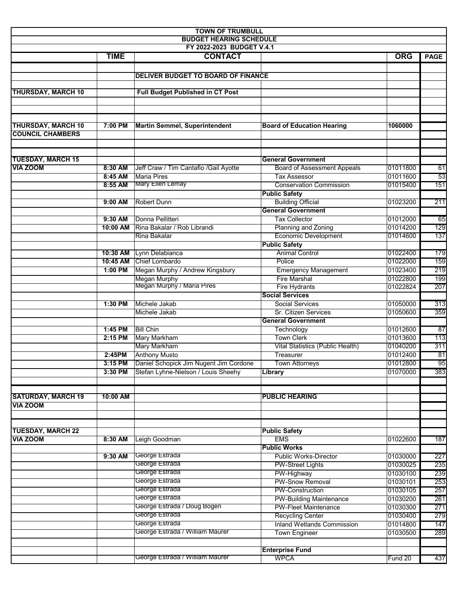|                           |             | <b>TOWN OF TRUMBULL</b>                           |                                                               |                      |             |
|---------------------------|-------------|---------------------------------------------------|---------------------------------------------------------------|----------------------|-------------|
|                           |             | <b>BUDGET HEARING SCHEDULE</b>                    |                                                               |                      |             |
|                           |             | FY 2022-2023 BUDGET V.4.1                         |                                                               |                      |             |
|                           | <b>TIME</b> | <b>CONTACT</b>                                    |                                                               | <b>ORG</b>           | <b>PAGE</b> |
|                           |             |                                                   |                                                               |                      |             |
|                           |             | <b>DELIVER BUDGET TO BOARD OF FINANCE</b>         |                                                               |                      |             |
| <b>THURSDAY, MARCH 10</b> |             |                                                   |                                                               |                      |             |
|                           |             | <b>Full Budget Published in CT Post</b>           |                                                               |                      |             |
|                           |             |                                                   |                                                               |                      |             |
|                           |             |                                                   |                                                               |                      |             |
| <b>THURSDAY, MARCH 10</b> | 7:00 PM     | <b>Martin Semmel, Superintendent</b>              | <b>Board of Education Hearing</b>                             | 1060000              |             |
| <b>COUNCIL CHAMBERS</b>   |             |                                                   |                                                               |                      |             |
|                           |             |                                                   |                                                               |                      |             |
|                           |             |                                                   |                                                               |                      |             |
| <b>TUESDAY, MARCH 15</b>  |             |                                                   | <b>General Government</b>                                     |                      |             |
| <b>VIA ZOOM</b>           | 8:30 AM     | Jeff Craw / Tim Cantafio / Gail Ayotte            | <b>Board of Assessment Appeals</b>                            | 01011800             | 61          |
|                           | 8:45 AM     | Maria Pires                                       | <b>Tax Assessor</b>                                           | 01011600             | 53          |
|                           | 8:55 AM     | Mary Ellen Lemay                                  | <b>Conservation Commission</b>                                | 01015400             | 151         |
|                           |             |                                                   | <b>Public Safety</b>                                          |                      |             |
|                           | 9:00 AM     | <b>Robert Dunn</b>                                | <b>Building Official</b>                                      | 01023200             | 211         |
|                           |             |                                                   | <b>General Government</b>                                     |                      |             |
|                           | 9:30 AM     | Donna Pellitteri                                  | <b>Tax Collector</b>                                          | 01012000             | 65          |
|                           | 10:00 AM    | Rina Bakalar / Rob Librandi                       | Planning and Zoning                                           | 01014200             | 129         |
|                           |             | Rina Bakalar                                      | <b>Economic Development</b>                                   | 01014600             | 137         |
|                           |             |                                                   | <b>Public Safety</b>                                          |                      |             |
|                           | 10:30 AM    | Lynn Delabianca                                   | <b>Animal Control</b>                                         | 01022400             | 179         |
|                           | 10:45 AM    | Chief Lombardo                                    | Police                                                        | 01022000             | 159         |
|                           | 1:00 PM     | Megan Murphy / Andrew Kingsbury                   | <b>Emergency Management</b>                                   | 01023400             | 219         |
|                           |             | <b>Megan Murphy</b><br>Megan Murphy / Maria Pires | <b>Fire Marshal</b>                                           | 01022800             | 199         |
|                           |             |                                                   | <b>Fire Hydrants</b><br><b>Social Services</b>                | 01022824             | 207         |
|                           | 1:30 PM     | Michele Jakab                                     | <b>Social Services</b>                                        | 01050000             | 313         |
|                           |             | Michele Jakab                                     | Sr. Citizen Services                                          |                      |             |
|                           |             |                                                   | <b>General Government</b>                                     | 01050600             | 359         |
|                           | 1:45 PM     | <b>Bill Chin</b>                                  | Technology                                                    | 01012600             | 87          |
|                           | 2:15 PM     | <b>Mary Markham</b>                               | <b>Town Clerk</b>                                             | 01013600             | 113         |
|                           |             | <b>Mary Markham</b>                               | Vital Statistics (Public Health)                              | 01040200             | 311         |
|                           | 2:45PM      | <b>Anthony Musto</b>                              | Treasurer                                                     | 01012400             | -81         |
|                           | $3:15$ PM   | Daniel Schopick Jim Nugent Jim Cordone            | <b>Town Attorneys</b>                                         | 01012800             | 95          |
|                           | 3:30 PM     | Stefan Lyhne-Nielson / Louis Sheehy               | Library                                                       | 01070000             | 383         |
|                           |             |                                                   |                                                               |                      |             |
|                           |             |                                                   |                                                               |                      |             |
| <b>SATURDAY, MARCH 19</b> | 10:00 AM    |                                                   | <b>PUBLIC HEARING</b>                                         |                      |             |
| <b>VIA ZOOM</b>           |             |                                                   |                                                               |                      |             |
|                           |             |                                                   |                                                               |                      |             |
|                           |             |                                                   |                                                               |                      |             |
| <b>TUESDAY, MARCH 22</b>  |             |                                                   | <b>Public Safety</b>                                          |                      |             |
| <b>VIA ZOOM</b>           | 8:30 AM     | Leigh Goodman                                     | <b>EMS</b>                                                    | 01022600             | 187         |
|                           |             |                                                   | <b>Public Works</b>                                           |                      |             |
|                           | 9:30 AM     | George Estrada                                    | <b>Public Works-Director</b>                                  | 01030000             | 227         |
|                           |             | George Estrada<br>George Estrada                  | <b>PW-Street Lights</b>                                       | 01030025             | 235         |
|                           |             | George Estrada                                    | PW-Highway                                                    | 01030100             | 239         |
|                           |             | George Estrada                                    | <b>PW-Snow Removal</b>                                        | 01030101             | 253         |
|                           |             | George Estrada                                    | PW-Construction                                               | 01030105             | 257         |
|                           |             | George Estrada / Doug Bogen                       | <b>PW-Building Maintenance</b><br><b>PW-Fleet Maintenance</b> | 01030200             | 261         |
|                           |             | George Estrada                                    |                                                               | 01030300<br>01030400 | 271         |
|                           |             | George Estrada                                    | <b>Recycling Center</b><br><b>Inland Wetlands Commission</b>  | 01014800             | 279         |
|                           |             | George Estrada / William Maurer                   | <b>Town Engineer</b>                                          | 01030500             | 147<br>289  |
|                           |             |                                                   |                                                               |                      |             |
|                           |             |                                                   | <b>Enterprise Fund</b>                                        |                      |             |
|                           |             | George Estrada / William Maurer                   | <b>WPCA</b>                                                   | Fund 20              | 437         |
|                           |             |                                                   |                                                               |                      |             |